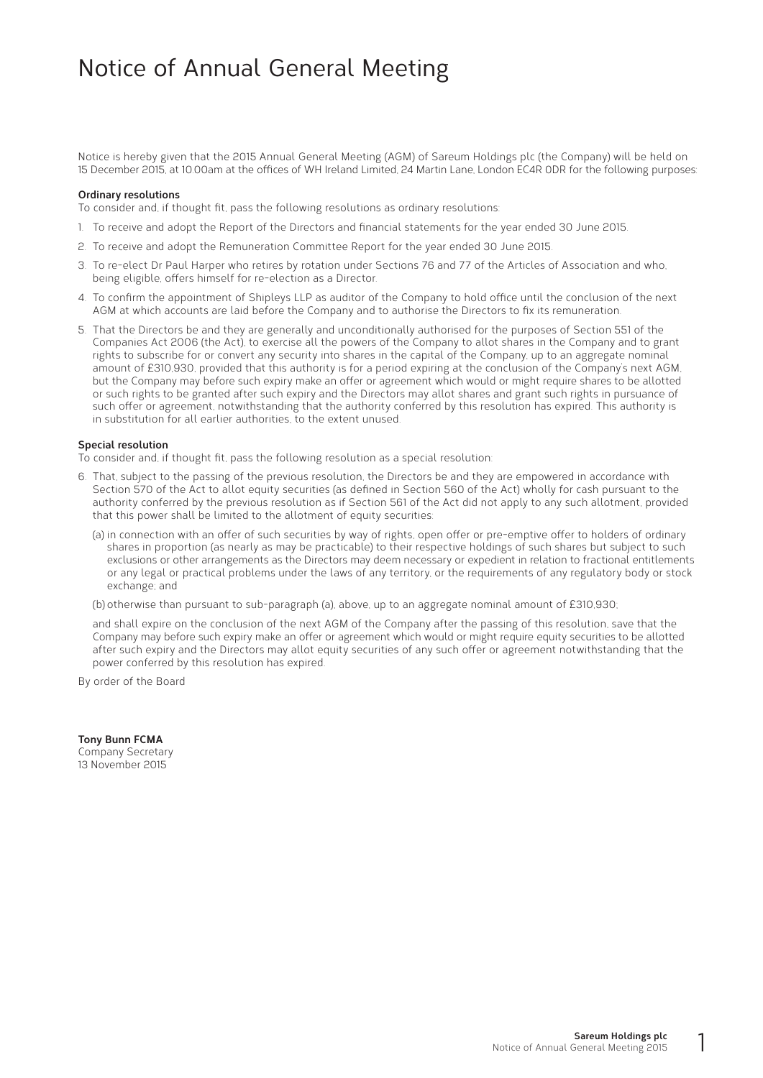### Notice of Annual General Meeting

Notice is hereby given that the 2015 Annual General Meeting (AGM) of Sareum Holdings plc (the Company) will be held on 15 December 2015, at 10.00am at the offices of WH Ireland Limited, 24 Martin Lane, London EC4R 0DR for the following purposes:

#### **Ordinary resolutions**

To consider and, if thought fit, pass the following resolutions as ordinary resolutions:

- 1. To receive and adopt the Report of the Directors and financial statements for the year ended 30 June 2015.
- 2. To receive and adopt the Remuneration Committee Report for the year ended 30 June 2015.
- 3. To re-elect Dr Paul Harper who retires by rotation under Sections 76 and 77 of the Articles of Association and who, being eligible, offers himself for re-election as a Director.
- 4. To confirm the appointment of Shipleys LLP as auditor of the Company to hold office until the conclusion of the next AGM at which accounts are laid before the Company and to authorise the Directors to fix its remuneration.
- 5. That the Directors be and they are generally and unconditionally authorised for the purposes of Section 551 of the Companies Act 2006 (the Act), to exercise all the powers of the Company to allot shares in the Company and to grant rights to subscribe for or convert any security into shares in the capital of the Company, up to an aggregate nominal amount of £310,930, provided that this authority is for a period expiring at the conclusion of the Company's next AGM, but the Company may before such expiry make an offer or agreement which would or might require shares to be allotted or such rights to be granted after such expiry and the Directors may allot shares and grant such rights in pursuance of such offer or agreement, notwithstanding that the authority conferred by this resolution has expired. This authority is in substitution for all earlier authorities, to the extent unused.

#### **Special resolution**

To consider and, if thought fit, pass the following resolution as a special resolution:

- 6. That, subject to the passing of the previous resolution, the Directors be and they are empowered in accordance with Section 570 of the Act to allot equity securities (as defined in Section 560 of the Act) wholly for cash pursuant to the authority conferred by the previous resolution as if Section 561 of the Act did not apply to any such allotment, provided that this power shall be limited to the allotment of equity securities:
	- (a) in connection with an offer of such securities by way of rights, open offer or pre-emptive offer to holders of ordinary shares in proportion (as nearly as may be practicable) to their respective holdings of such shares but subject to such exclusions or other arrangements as the Directors may deem necessary or expedient in relation to fractional entitlements or any legal or practical problems under the laws of any territory, or the requirements of any regulatory body or stock exchange; and

(b) otherwise than pursuant to sub-paragraph (a), above, up to an aggregate nominal amount of £310,930;

 and shall expire on the conclusion of the next AGM of the Company after the passing of this resolution, save that the Company may before such expiry make an offer or agreement which would or might require equity securities to be allotted after such expiry and the Directors may allot equity securities of any such offer or agreement notwithstanding that the power conferred by this resolution has expired.

By order of the Board

**Tony Bunn FCMA** Company Secretary 13 November 2015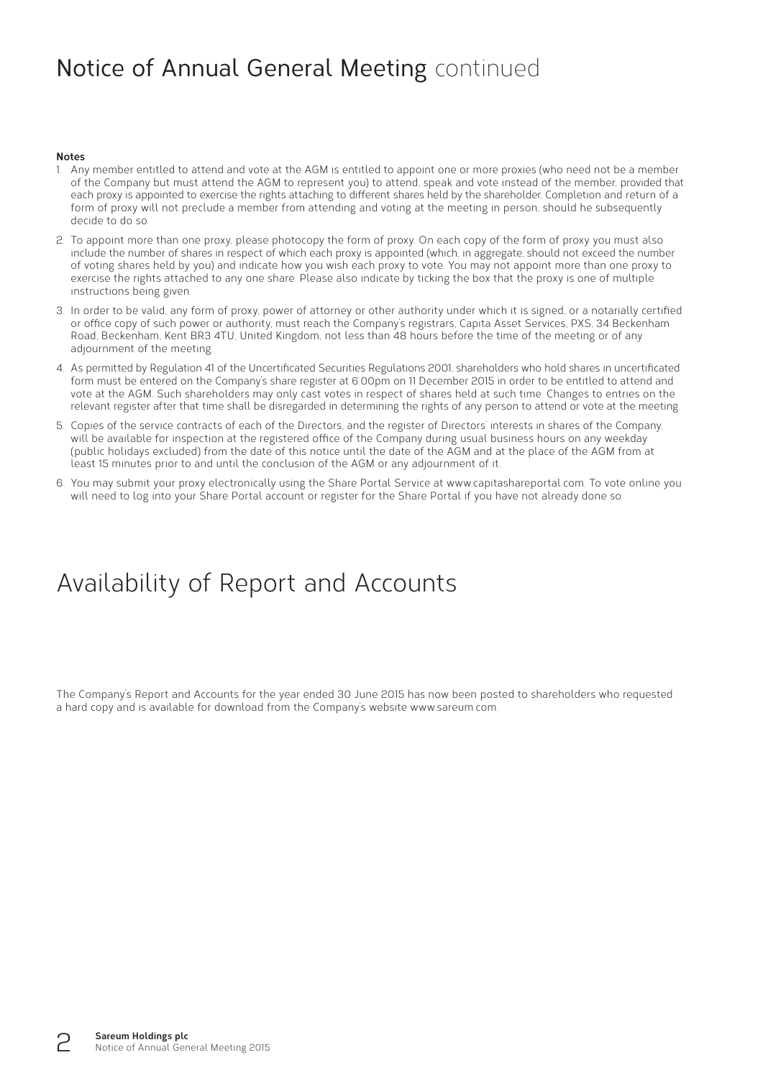# Notice of Annual General Meeting continued

#### **Notes**

- 1. Any member entitled to attend and vote at the AGM is entitled to appoint one or more proxies (who need not be a member of the Company but must attend the AGM to represent you) to attend, speak and vote instead of the member, provided that each proxy is appointed to exercise the rights attaching to different shares held by the shareholder. Completion and return of a form of proxy will not preclude a member from attending and voting at the meeting in person, should he subsequently decide to do so.
- 2. To appoint more than one proxy, please photocopy the form of proxy. On each copy of the form of proxy you must also include the number of shares in respect of which each proxy is appointed (which, in aggregate, should not exceed the number of voting shares held by you) and indicate how you wish each proxy to vote. You may not appoint more than one proxy to exercise the rights attached to any one share. Please also indicate by ticking the box that the proxy is one of multiple instructions being given.
- 3. In order to be valid, any form of proxy, power of attorney or other authority under which it is signed, or a notarially certified or office copy of such power or authority, must reach the Company's registrars, Capita Asset Services, PXS, 34 Beckenham Road, Beckenham, Kent BR3 4TU, United Kingdom, not less than 48 hours before the time of the meeting or of any adjournment of the meeting.
- 4. As permitted by Regulation 41 of the Uncertificated Securities Regulations 2001, shareholders who hold shares in uncertificated form must be entered on the Company's share register at 6.00pm on 11 December 2015 in order to be entitled to attend and vote at the AGM. Such shareholders may only cast votes in respect of shares held at such time. Changes to entries on the relevant register after that time shall be disregarded in determining the rights of any person to attend or vote at the meeting.
- 5. Copies of the service contracts of each of the Directors, and the register of Directors' interests in shares of the Company, will be available for inspection at the registered office of the Company during usual business hours on any weekday (public holidays excluded) from the date of this notice until the date of the AGM and at the place of the AGM from at least 15 minutes prior to and until the conclusion of the AGM or any adjournment of it.
- 6. You may submit your proxy electronically using the Share Portal Service at www.capitashareportal.com. To vote online you will need to log into your Share Portal account or register for the Share Portal if you have not already done so.

### Availability of Report and Accounts

The Company's Report and Accounts for the year ended 30 June 2015 has now been posted to shareholders who requested a hard copy and is available for download from the Company's website www.sareum.com.